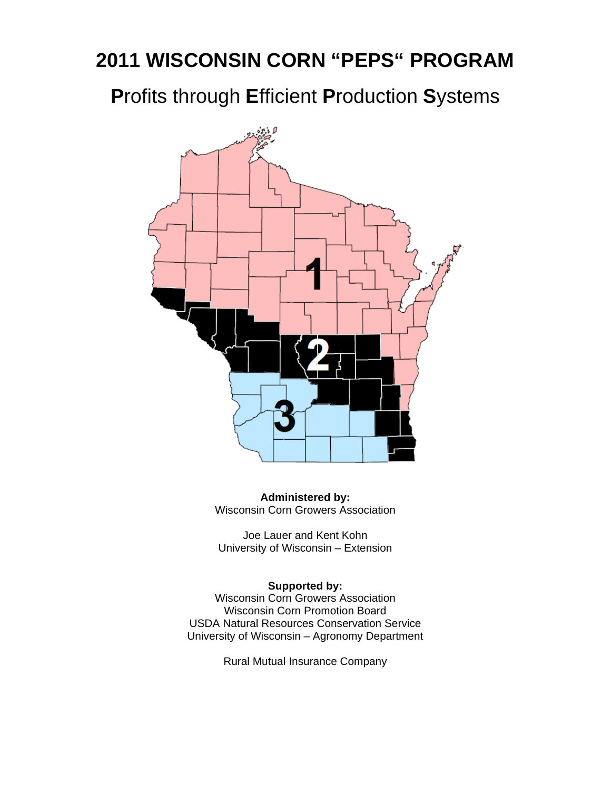# **2011 WISCONSIN CORN "PEPS" PROGRAM**

**P**rofits through **E**fficient **P**roduction **S**ystems



**Administered by:**  Wisconsin Corn Growers Association

Joe Lauer and Kent Kohn University of Wisconsin – Extension

### **Supported by:**

Wisconsin Corn Growers Association Wisconsin Corn Promotion Board USDA Natural Resources Conservation Service University of Wisconsin – Agronomy Department

Rural Mutual Insurance Company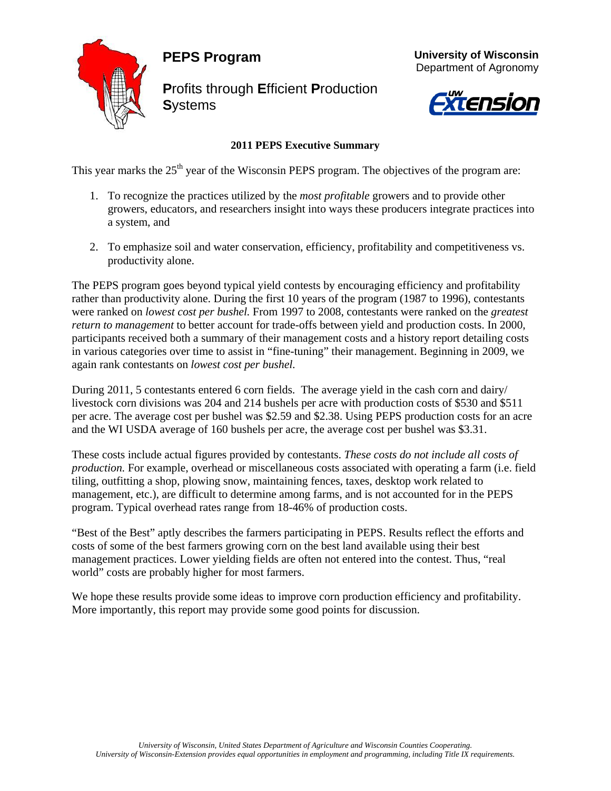## **PEPS Program**



**P**rofits through **E**fficient **P**roduction **S**ystems



 **University of Wisconsin**

# *Xtension*

### **2011 PEPS Executive Summary**

This year marks the  $25<sup>th</sup>$  year of the Wisconsin PEPS program. The objectives of the program are:

- 1. To recognize the practices utilized by the *most profitable* growers and to provide other growers, educators, and researchers insight into ways these producers integrate practices into a system, and
- 2. To emphasize soil and water conservation, efficiency, profitability and competitiveness vs. productivity alone.

The PEPS program goes beyond typical yield contests by encouraging efficiency and profitability rather than productivity alone. During the first 10 years of the program (1987 to 1996), contestants were ranked on *lowest cost per bushel.* From 1997 to 2008, contestants were ranked on the *greatest return to management* to better account for trade-offs between yield and production costs. In 2000, participants received both a summary of their management costs and a history report detailing costs in various categories over time to assist in "fine-tuning" their management. Beginning in 2009, we again rank contestants on *lowest cost per bushel.*

During 2011, 5 contestants entered 6 corn fields. The average yield in the cash corn and dairy/ livestock corn divisions was 204 and 214 bushels per acre with production costs of \$530 and \$511 per acre. The average cost per bushel was \$2.59 and \$2.38. Using PEPS production costs for an acre and the WI USDA average of 160 bushels per acre, the average cost per bushel was \$3.31.

These costs include actual figures provided by contestants. *These costs do not include all costs of production.* For example, overhead or miscellaneous costs associated with operating a farm (i.e. field tiling, outfitting a shop, plowing snow, maintaining fences, taxes, desktop work related to management, etc.), are difficult to determine among farms, and is not accounted for in the PEPS program. Typical overhead rates range from 18-46% of production costs.

"Best of the Best" aptly describes the farmers participating in PEPS. Results reflect the efforts and costs of some of the best farmers growing corn on the best land available using their best management practices. Lower yielding fields are often not entered into the contest. Thus, "real world" costs are probably higher for most farmers.

We hope these results provide some ideas to improve corn production efficiency and profitability. More importantly, this report may provide some good points for discussion.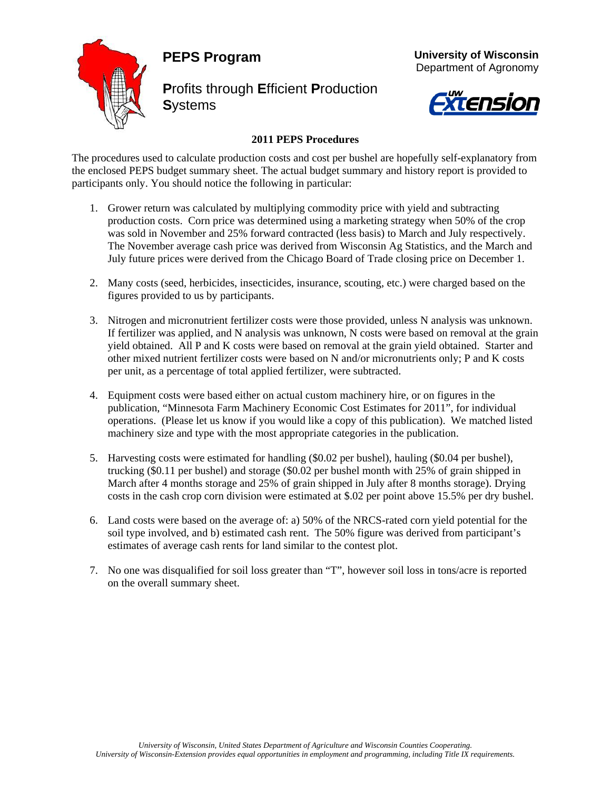## **PEPS Program**



**P**rofits through **E**fficient **P**roduction **S**ystems



 **University of Wisconsin** Department of Agronomy

### **2011 PEPS Procedures**

The procedures used to calculate production costs and cost per bushel are hopefully self-explanatory from the enclosed PEPS budget summary sheet. The actual budget summary and history report is provided to participants only. You should notice the following in particular:

- 1. Grower return was calculated by multiplying commodity price with yield and subtracting production costs. Corn price was determined using a marketing strategy when 50% of the crop was sold in November and 25% forward contracted (less basis) to March and July respectively. The November average cash price was derived from Wisconsin Ag Statistics, and the March and July future prices were derived from the Chicago Board of Trade closing price on December 1.
- 2. Many costs (seed, herbicides, insecticides, insurance, scouting, etc.) were charged based on the figures provided to us by participants.
- 3. Nitrogen and micronutrient fertilizer costs were those provided, unless N analysis was unknown. If fertilizer was applied, and N analysis was unknown, N costs were based on removal at the grain yield obtained. All P and K costs were based on removal at the grain yield obtained. Starter and other mixed nutrient fertilizer costs were based on N and/or micronutrients only; P and K costs per unit, as a percentage of total applied fertilizer, were subtracted.
- 4. Equipment costs were based either on actual custom machinery hire, or on figures in the publication, "Minnesota Farm Machinery Economic Cost Estimates for 2011", for individual operations. (Please let us know if you would like a copy of this publication). We matched listed machinery size and type with the most appropriate categories in the publication.
- 5. Harvesting costs were estimated for handling (\$0.02 per bushel), hauling (\$0.04 per bushel), trucking (\$0.11 per bushel) and storage (\$0.02 per bushel month with 25% of grain shipped in March after 4 months storage and 25% of grain shipped in July after 8 months storage). Drying costs in the cash crop corn division were estimated at \$.02 per point above 15.5% per dry bushel.
- 6. Land costs were based on the average of: a) 50% of the NRCS-rated corn yield potential for the soil type involved, and b) estimated cash rent. The 50% figure was derived from participant's estimates of average cash rents for land similar to the contest plot.
- 7. No one was disqualified for soil loss greater than "T", however soil loss in tons/acre is reported on the overall summary sheet.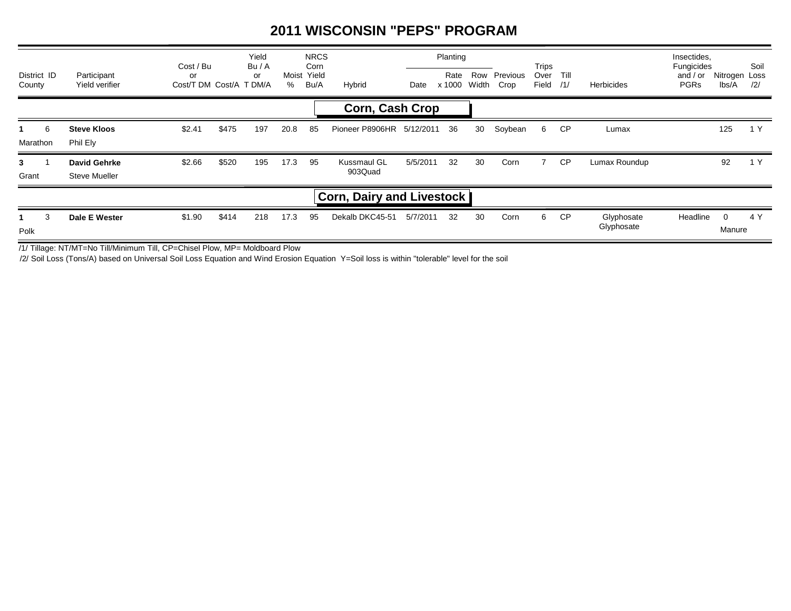### **2011 WISCONSIN "PEPS" PROGRAM**

| District ID<br>County |                                  | Participant<br>Yield verifier        | Cost / Bu<br>or<br>Cost/T DM Cost/A |       | Yield<br>Bu/A<br>or<br>T DM/A | %    | <b>NRCS</b><br>Corn<br>Moist Yield<br>Bu/A | Hybrid                        | Date     | Planting<br>Rate<br>x 1000 | Row<br>Width | Previous<br>Crop | Trips<br>Over<br>Field | Till<br>/1/ | Herbicides               | Insectides,<br>Fungicides<br>and $/$ or<br><b>PGRs</b> | Nitrogen Loss<br>lbs/A   | Soil<br>/2/ |
|-----------------------|----------------------------------|--------------------------------------|-------------------------------------|-------|-------------------------------|------|--------------------------------------------|-------------------------------|----------|----------------------------|--------------|------------------|------------------------|-------------|--------------------------|--------------------------------------------------------|--------------------------|-------------|
|                       |                                  |                                      |                                     |       |                               |      |                                            | <b>Corn, Cash Crop</b>        |          |                            |              |                  |                        |             |                          |                                                        |                          |             |
| Marathon              | 6                                | <b>Steve Kloos</b><br>Phil Ely       | \$2.41                              | \$475 | 197                           | 20.8 | 85                                         | Pioneer P8906HR 5/12/2011     |          | 36                         | 30           | Soybean          | 6                      | CP          | Lumax                    |                                                        | 125                      | 1 Y         |
| $3^{\circ}$<br>Grant  |                                  | David Gehrke<br><b>Steve Mueller</b> | \$2.66                              | \$520 | 195                           | 17.3 | 95                                         | <b>Kussmaul GL</b><br>903Quad | 5/5/2011 | 32                         | 30           | Corn             |                        | <b>CP</b>   | Lumax Roundup            |                                                        | 92                       | 1 Y         |
|                       | <b>Corn, Dairy and Livestock</b> |                                      |                                     |       |                               |      |                                            |                               |          |                            |              |                  |                        |             |                          |                                                        |                          |             |
| Polk                  | 3                                | Dale E Wester                        | \$1.90                              | \$414 | 218                           | 17.3 | 95                                         | Dekalb DKC45-51               | 5/7/2011 | 32                         | 30           | Corn             | 6                      | CP          | Glyphosate<br>Glyphosate | Headline                                               | $\overline{0}$<br>Manure | 4 Y         |

/1/ Tillage: NT/MT=No Till/Minimum Till, CP=Chisel Plow, MP= Moldboard Plow

/2/ Soil Loss (Tons/A) based on Universal Soil Loss Equation and Wind Erosion Equation Y=Soil loss is within "tolerable" level for the soil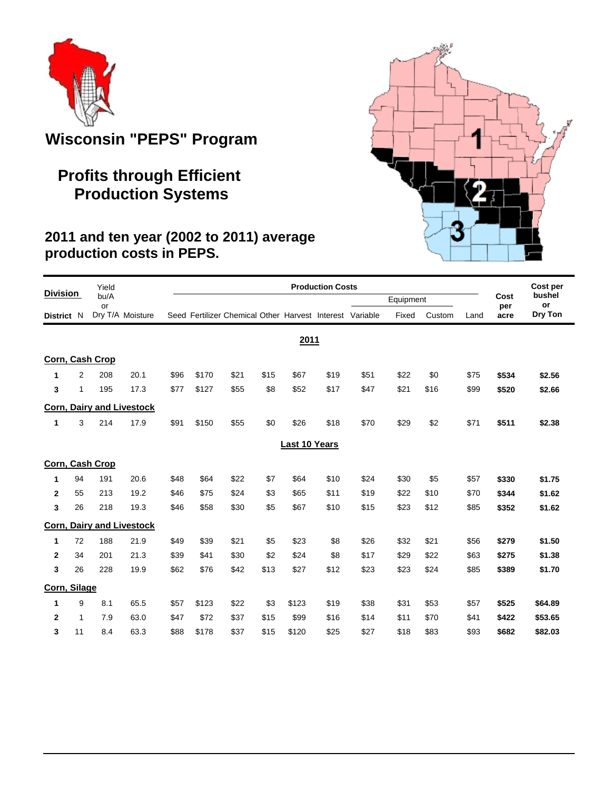

## **Wisconsin "PEPS" Program**

## **Profits through Efficient Production Systems**

### **2011 and ten year (2002 to 2011) average production costs in PEPS.**

|                 |    | Yield      |                                  | <b>Production Costs</b> |       |                                                          |      |               |      |      |           |        |      | Cost per    |              |
|-----------------|----|------------|----------------------------------|-------------------------|-------|----------------------------------------------------------|------|---------------|------|------|-----------|--------|------|-------------|--------------|
| <b>Division</b> |    | bu/A<br>or |                                  |                         |       |                                                          |      |               |      |      | Equipment |        |      | Cost<br>per | bushel<br>or |
| District N      |    |            | Dry T/A Moisture                 |                         |       | Seed Fertilizer Chemical Other Harvest Interest Variable |      |               |      |      | Fixed     | Custom | Land | acre        | Dry Ton      |
|                 |    |            |                                  |                         |       |                                                          |      | 2011          |      |      |           |        |      |             |              |
| Corn, Cash Crop |    |            |                                  |                         |       |                                                          |      |               |      |      |           |        |      |             |              |
| 1               | 2  | 208        | 20.1                             | \$96                    | \$170 | \$21                                                     | \$15 | \$67          | \$19 | \$51 | \$22      | \$0    | \$75 | \$534       | \$2.56       |
| 3               | 1  | 195        | 17.3                             | \$77                    | \$127 | \$55                                                     | \$8  | \$52          | \$17 | \$47 | \$21      | \$16   | \$99 | \$520       | \$2.66       |
|                 |    |            | <b>Corn, Dairy and Livestock</b> |                         |       |                                                          |      |               |      |      |           |        |      |             |              |
| 1               | 3  | 214        | 17.9                             | \$91                    | \$150 | \$55                                                     | \$0  | \$26          | \$18 | \$70 | \$29      | \$2    | \$71 | \$511       | \$2.38       |
|                 |    |            |                                  |                         |       |                                                          |      | Last 10 Years |      |      |           |        |      |             |              |
| Corn, Cash Crop |    |            |                                  |                         |       |                                                          |      |               |      |      |           |        |      |             |              |
| 1               | 94 | 191        | 20.6                             | \$48                    | \$64  | \$22                                                     | \$7  | \$64          | \$10 | \$24 | \$30      | \$5    | \$57 | \$330       | \$1.75       |
| $\mathbf{2}$    | 55 | 213        | 19.2                             | \$46                    | \$75  | \$24                                                     | \$3  | \$65          | \$11 | \$19 | \$22      | \$10   | \$70 | \$344       | \$1.62       |
| 3               | 26 | 218        | 19.3                             | \$46                    | \$58  | \$30                                                     | \$5  | \$67          | \$10 | \$15 | \$23      | \$12   | \$85 | \$352       | \$1.62       |
|                 |    |            | <b>Corn, Dairy and Livestock</b> |                         |       |                                                          |      |               |      |      |           |        |      |             |              |
| 1               | 72 | 188        | 21.9                             | \$49                    | \$39  | \$21                                                     | \$5  | \$23          | \$8  | \$26 | \$32      | \$21   | \$56 | \$279       | \$1.50       |
| $\mathbf{2}$    | 34 | 201        | 21.3                             | \$39                    | \$41  | \$30                                                     | \$2  | \$24          | \$8  | \$17 | \$29      | \$22   | \$63 | \$275       | \$1.38       |
| 3               | 26 | 228        | 19.9                             | \$62                    | \$76  | \$42                                                     | \$13 | \$27          | \$12 | \$23 | \$23      | \$24   | \$85 | \$389       | \$1.70       |
| Corn, Silage    |    |            |                                  |                         |       |                                                          |      |               |      |      |           |        |      |             |              |
| 1               | 9  | 8.1        | 65.5                             | \$57                    | \$123 | \$22                                                     | \$3  | \$123         | \$19 | \$38 | \$31      | \$53   | \$57 | \$525       | \$64.89      |
| $\mathbf{2}$    | 1  | 7.9        | 63.0                             | \$47                    | \$72  | \$37                                                     | \$15 | \$99          | \$16 | \$14 | \$11      | \$70   | \$41 | \$422       | \$53.65      |
| 3               | 11 | 8.4        | 63.3                             | \$88                    | \$178 | \$37                                                     | \$15 | \$120         | \$25 | \$27 | \$18      | \$83   | \$93 | \$682       | \$82.03      |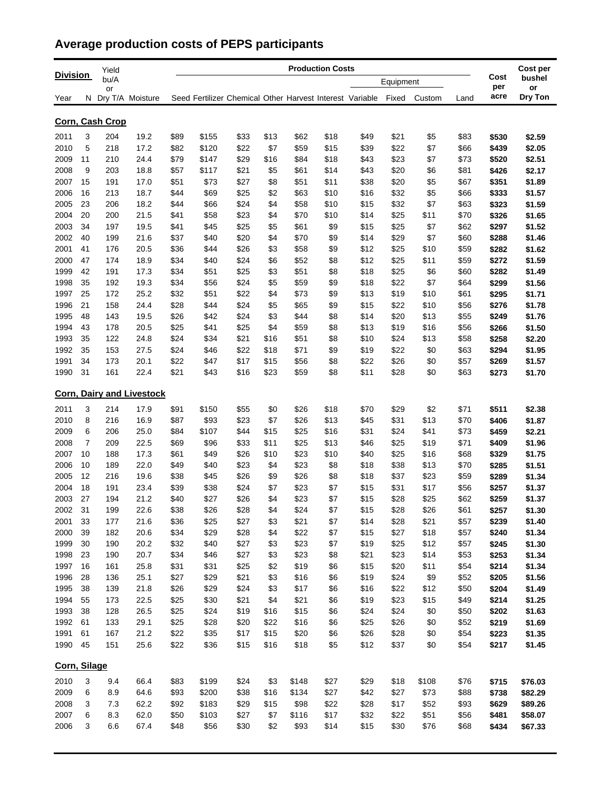## **Average production costs of PEPS participants**

|                      |    | Yield |                                  | <b>Production Costs</b> |       |                                                          |      |       |              |      |           |        |      |             | Cost per     |  |
|----------------------|----|-------|----------------------------------|-------------------------|-------|----------------------------------------------------------|------|-------|--------------|------|-----------|--------|------|-------------|--------------|--|
| <b>Division</b>      |    | bu/A  |                                  |                         |       |                                                          |      |       |              |      | Equipment |        |      | Cost<br>per | bushel<br>or |  |
| Year                 |    | or    | N Dry T/A Moisture               |                         |       | Seed Fertilizer Chemical Other Harvest Interest Variable |      |       |              |      | Fixed     | Custom | Land | acre        | Dry Ton      |  |
|                      |    |       |                                  |                         |       |                                                          |      |       |              |      |           |        |      |             |              |  |
| Corn, Cash Crop      |    |       |                                  |                         |       |                                                          |      |       |              |      |           |        |      |             |              |  |
| 2011                 | 3  | 204   | 19.2                             | \$89                    | \$155 | \$33                                                     | \$13 | \$62  | \$18         | \$49 | \$21      | \$5    | \$83 | \$530       | \$2.59       |  |
| 2010                 | 5  | 218   | 17.2                             | \$82                    | \$120 | \$22                                                     | \$7  | \$59  | \$15         | \$39 | \$22      | \$7    | \$66 | \$439       | \$2.05       |  |
| 2009                 | 11 | 210   | 24.4                             | \$79                    | \$147 | \$29                                                     | \$16 | \$84  | \$18         | \$43 | \$23      | \$7    | \$73 | \$520       | \$2.51       |  |
| 2008                 | 9  | 203   | 18.8                             | \$57                    | \$117 | \$21                                                     | \$5  | \$61  | \$14         | \$43 | \$20      | \$6    | \$81 | \$426       | \$2.17       |  |
| 2007                 | 15 | 191   | 17.0                             | \$51                    | \$73  | \$27                                                     | \$8  | \$51  | \$11         | \$38 | \$20      | \$5    | \$67 | \$351       | \$1.89       |  |
| 2006                 | 16 | 213   | 18.7                             | \$44                    | \$69  | \$25                                                     | \$2  | \$63  | \$10         | \$16 | \$32      | \$5    | \$66 | \$333       | \$1.57       |  |
| 2005                 | 23 | 206   | 18.2                             | \$44                    | \$66  | \$24                                                     | \$4  | \$58  | \$10         | \$15 | \$32      | \$7    | \$63 | \$323       | \$1.59       |  |
| 2004                 | 20 | 200   | 21.5                             | \$41                    | \$58  | \$23                                                     | \$4  | \$70  | \$10         | \$14 | \$25      | \$11   | \$70 | \$326       | \$1.65       |  |
| 2003                 | 34 | 197   | 19.5                             | \$41                    | \$45  | \$25                                                     | \$5  | \$61  | \$9          | \$15 | \$25      | \$7    | \$62 | \$297       | \$1.52       |  |
| 2002                 | 40 | 199   | 21.6                             | \$37                    | \$40  | \$20                                                     | \$4  | \$70  | \$9          | \$14 | \$29      | \$7    | \$60 | \$288       | \$1.46       |  |
| 2001                 | 41 | 176   | 20.5                             | \$36                    | \$44  | \$26                                                     | \$3  | \$58  | \$9          | \$12 | \$25      | \$10   | \$59 | \$282       | \$1.62       |  |
| 2000                 | 47 | 174   | 18.9                             | \$34                    | \$40  | \$24                                                     | \$6  | \$52  | \$8          | \$12 | \$25      | \$11   | \$59 | \$272       | \$1.59       |  |
| 1999                 | 42 | 191   | 17.3                             | \$34                    | \$51  | \$25                                                     | \$3  | \$51  | \$8          | \$18 | \$25      | \$6    | \$60 | \$282       | \$1.49       |  |
| 1998                 | 35 | 192   | 19.3                             | \$34                    | \$56  | \$24                                                     | \$5  | \$59  | \$9          | \$18 | \$22      | \$7    | \$64 | \$299       | \$1.56       |  |
| 1997                 | 25 | 172   | 25.2                             | \$32                    | \$51  | \$22                                                     | \$4  | \$73  | \$9          | \$13 | \$19      | \$10   | \$61 | \$295       | \$1.71       |  |
| 1996                 | 21 | 158   | 24.4                             | \$28                    | \$44  | \$24                                                     | \$5  | \$65  | \$9          | \$15 | \$22      | \$10   | \$56 | \$276       | \$1.78       |  |
| 1995                 | 48 | 143   | 19.5                             | \$26                    | \$42  | \$24                                                     | \$3  | \$44  | \$8          | \$14 | \$20      | \$13   | \$55 | \$249       | \$1.76       |  |
| 1994                 | 43 | 178   | 20.5                             | \$25                    | \$41  | \$25                                                     | \$4  | \$59  | \$8          | \$13 | \$19      | \$16   | \$56 | \$266       | \$1.50       |  |
| 1993                 | 35 | 122   | 24.8                             | \$24                    | \$34  | \$21                                                     | \$16 | \$51  | \$8          | \$10 | \$24      | \$13   | \$58 | \$258       | \$2.20       |  |
| 1992                 | 35 | 153   | 27.5                             | \$24                    | \$46  | \$22                                                     | \$18 | \$71  | \$9          | \$19 | \$22      | \$0    | \$63 | \$294       | \$1.95       |  |
| 1991                 | 34 | 173   | 20.1                             | \$22                    | \$47  | \$17                                                     | \$15 | \$56  | \$8          | \$22 | \$26      | \$0    | \$57 | \$269       | \$1.57       |  |
| 1990                 | 31 | 161   | 22.4                             | \$21                    | \$43  | \$16                                                     | \$23 | \$59  | \$8          | \$11 | \$28      | \$0    | \$63 | \$273       | \$1.70       |  |
|                      |    |       | <b>Corn, Dairy and Livestock</b> |                         |       |                                                          |      |       |              |      |           |        |      |             |              |  |
| 2011                 | 3  | 214   | 17.9                             | \$91                    | \$150 | \$55                                                     | \$0  | \$26  | \$18         | \$70 | \$29      | \$2    | \$71 | \$511       | \$2.38       |  |
| 2010                 | 8  | 216   | 16.9                             | \$87                    | \$93  | \$23                                                     | \$7  | \$26  | \$13         | \$45 | \$31      | \$13   | \$70 | \$406       | \$1.87       |  |
| 2009                 | 6  | 206   | 25.0                             | \$84                    | \$107 | \$44                                                     | \$15 | \$25  | \$16         | \$31 | \$24      | \$41   | \$73 | \$459       | \$2.21       |  |
| 2008                 | 7  | 209   | 22.5                             | \$69                    | \$96  | \$33                                                     | \$11 | \$25  | \$13         | \$46 | \$25      | \$19   | \$71 | \$409       | \$1.96       |  |
| 2007                 | 10 | 188   | 17.3                             | \$61                    | \$49  | \$26                                                     | \$10 | \$23  | \$10         | \$40 | \$25      | \$16   | \$68 | \$329       | \$1.75       |  |
| 2006                 | 10 | 189   | 22.0                             | \$49                    | \$40  | \$23                                                     | \$4  | \$23  | \$8          | \$18 | \$38      | \$13   | \$70 | \$285       | \$1.51       |  |
| 2005                 | 12 | 216   | 19.6                             | \$38                    | \$45  | \$26                                                     | \$9  | \$26  | \$8          | \$18 | \$37      | \$23   | \$59 | \$289       | \$1.34       |  |
| 2004                 | 18 | 191   | 23.4                             | \$39                    | \$38  | \$24                                                     | \$7  | \$23  | \$7          | \$15 | \$31      | \$17   | \$56 | \$257       | \$1.37       |  |
| 2003                 | 27 | 194   | 21.2                             | \$40                    | \$27  | \$26                                                     | \$4  | \$23  | \$7          | \$15 | \$28      | \$25   | \$62 | \$259       | \$1.37       |  |
| 2002                 | 31 | 199   | 22.6                             | \$38                    | \$26  | \$28                                                     | \$4  | \$24  | \$7          | \$15 | \$28      | \$26   | \$61 | \$257       | \$1.30       |  |
| 2001                 | 33 | 177   | 21.6                             | \$36                    | \$25  | \$27                                                     | \$3  | \$21  | \$7          | \$14 | \$28      | \$21   | \$57 | \$239       | \$1.40       |  |
| 2000                 | 39 | 182   | 20.6                             | \$34                    | \$29  | \$28                                                     | \$4  | \$22  | \$7          | \$15 | \$27      | \$18   | \$57 | \$240       | \$1.34       |  |
| 1999                 | 30 | 190   | 20.2                             | \$32                    | \$40  | \$27                                                     | \$3  | \$23  | \$7          | \$19 | \$25      | \$12   | \$57 | \$245       | \$1.30       |  |
| 1998                 | 23 | 190   | 20.7                             | \$34                    | \$46  | \$27                                                     | \$3  | \$23  | \$8          | \$21 | \$23      | \$14   | \$53 | \$253       | \$1.34       |  |
| 1997                 | 16 | 161   | 25.8                             | \$31                    | \$31  | \$25                                                     | \$2  | \$19  | \$6          | \$15 | \$20      | \$11   | \$54 | \$214       | \$1.34       |  |
| 1996                 | 28 | 136   | 25.1                             | \$27                    | \$29  | \$21                                                     | \$3  | \$16  | \$6          | \$19 | \$24      | \$9    | \$52 | \$205       | \$1.56       |  |
| 1995                 | 38 | 139   | 21.8                             | \$26                    | \$29  | \$24                                                     | \$3  | \$17  | \$6          | \$16 | \$22      | \$12   | \$50 | \$204       | \$1.49       |  |
| 1994                 | 55 | 173   | 22.5                             | \$25                    | \$30  | \$21                                                     | \$4  | \$21  | \$6          | \$19 | \$23      | \$15   | \$49 | \$214       | \$1.25       |  |
| 1993                 | 38 | 128   | 26.5                             | \$25                    | \$24  | \$19                                                     | \$16 | \$15  | \$6          | \$24 | \$24      | \$0    | \$50 | \$202       | \$1.63       |  |
| 1992                 | 61 | 133   | 29.1                             | \$25                    | \$28  | \$20                                                     | \$22 | \$16  | \$6          | \$25 | \$26      | \$0    | \$52 | \$219       | \$1.69       |  |
| 1991                 | 61 | 167   | 21.2                             | \$22                    | \$35  | \$17                                                     | \$15 | \$20  | \$6          | \$26 | \$28      | \$0    | \$54 | \$223       | \$1.35       |  |
| 1990                 | 45 | 151   | 25.6                             | \$22                    | \$36  | \$15                                                     | \$16 | \$18  | \$5          | \$12 | \$37      | \$0    | \$54 | \$217       | \$1.45       |  |
|                      |    |       |                                  |                         |       |                                                          |      |       |              |      |           |        |      |             |              |  |
| Corn, Silage<br>2010 | 3  | 9.4   | 66.4                             | \$83                    |       |                                                          | \$3  | \$148 |              |      | \$18      |        |      |             |              |  |
| 2009                 |    |       | 64.6                             | \$93                    | \$199 | \$24<br>\$38                                             | \$16 |       | \$27<br>\$27 | \$29 | \$27      | \$108  | \$76 | \$715       | \$76.03      |  |
|                      | 6  | 8.9   |                                  |                         | \$200 |                                                          |      | \$134 |              | \$42 |           | \$73   | \$88 | \$738       | \$82.29      |  |
| 2008                 | 3  | 7.3   | 62.2                             | \$92                    | \$183 | \$29                                                     | \$15 | \$98  | \$22         | \$28 | \$17      | \$52   | \$93 | \$629       | \$89.26      |  |
| 2007                 | 6  | 8.3   | 62.0                             | \$50                    | \$103 | \$27                                                     | \$7  | \$116 | \$17         | \$32 | \$22      | \$51   | \$56 | \$481       | \$58.07      |  |
| 2006                 | 3  | 6.6   | 67.4                             | \$48                    | \$56  | \$30                                                     | \$2  | \$93  | \$14         | \$15 | \$30      | \$76   | \$68 | \$434       | \$67.33      |  |